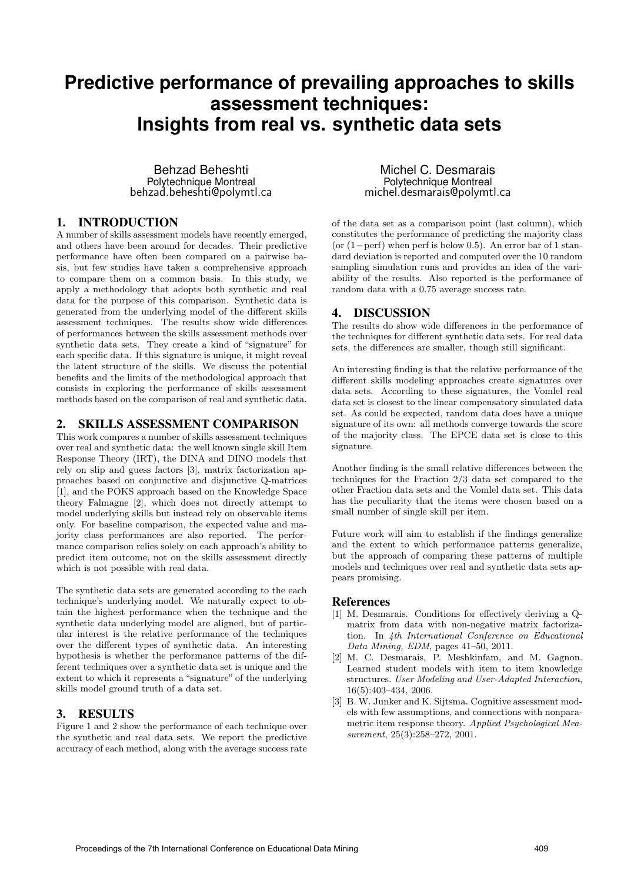# **Predictive performance of prevailing approaches to skills assessment techniques: Insights from real vs. synthetic data sets**

Behzad Beheshti Polytechnique Montreal behzad.beheshti@polymtl.ca

## 1. INTRODUCTION

A number of skills assessment models have recently emerged, and others have been around for decades. Their predictive performance have often been compared on a pairwise basis, but few studies have taken a comprehensive approach to compare them on a common basis. In this study, we apply a methodology that adopts both synthetic and real data for the purpose of this comparison. Synthetic data is generated from the underlying model of the different skills assessment techniques. The results show wide differences of performances between the skills assessment methods over synthetic data sets. They create a kind of "signature" for each specific data. If this signature is unique, it might reveal the latent structure of the skills. We discuss the potential benefits and the limits of the methodological approach that consists in exploring the performance of skills assessment methods based on the comparison of real and synthetic data.

### 2. SKILLS ASSESSMENT COMPARISON

This work compares a number of skills assessment techniques over real and synthetic data: the well known single skill Item Response Theory (IRT), the DINA and DINO models that rely on slip and guess factors [3], matrix factorization approaches based on conjunctive and disjunctive Q-matrices [1], and the POKS approach based on the Knowledge Space theory Falmagne [2], which does not directly attempt to model underlying skills but instead rely on observable items only. For baseline comparison, the expected value and majority class performances are also reported. The performance comparison relies solely on each approach's ability to predict item outcome, not on the skills assessment directly which is not possible with real data.

The synthetic data sets are generated according to the each technique's underlying model. We naturally expect to obtain the highest performance when the technique and the synthetic data underlying model are aligned, but of particular interest is the relative performance of the techniques over the different types of synthetic data. An interesting hypothesis is whether the performance patterns of the different techniques over a synthetic data set is unique and the extent to which it represents a "signature" of the underlying skills model ground truth of a data set.

# 3. RESULTS

Figure 1 and 2 show the performance of each technique over the synthetic and real data sets. We report the predictive accuracy of each method, along with the average success rate

Michel C. Desmarais Polytechnique Montreal michel.desmarais@polymtl.ca

of the data set as a comparison point (last column), which constitutes the performance of predicting the majority class (or  $(1-perf)$  when perf is below 0.5). An error bar of 1 standard deviation is reported and computed over the 10 random sampling simulation runs and provides an idea of the variability of the results. Also reported is the performance of random data with a 0.75 average success rate.

## 4. DISCUSSION

The results do show wide differences in the performance of the techniques for different synthetic data sets. For real data sets, the differences are smaller, though still significant.

An interesting finding is that the relative performance of the different skills modeling approaches create signatures over data sets. According to these signatures, the Vomlel real data set is closest to the linear compensatory simulated data set. As could be expected, random data does have a unique signature of its own: all methods converge towards the score of the majority class. The EPCE data set is close to this signature.

Another finding is the small relative differences between the techniques for the Fraction 2/3 data set compared to the other Fraction data sets and the Vomlel data set. This data has the peculiarity that the items were chosen based on a small number of single skill per item.

Future work will aim to establish if the findings generalize and the extent to which performance patterns generalize, but the approach of comparing these patterns of multiple models and techniques over real and synthetic data sets appears promising.

### References

- [1] M. Desmarais. Conditions for effectively deriving a Qmatrix from data with non-negative matrix factorization. In 4th International Conference on Educational Data Mining, EDM, pages 41–50, 2011.
- [2] M. C. Desmarais, P. Meshkinfam, and M. Gagnon. Learned student models with item to item knowledge structures. User Modeling and User-Adapted Interaction, 16(5):403–434, 2006.
- [3] B. W. Junker and K. Sijtsma. Cognitive assessment models with few assumptions, and connections with nonparametric item response theory. Applied Psychological Measurement, 25(3):258-272, 2001.